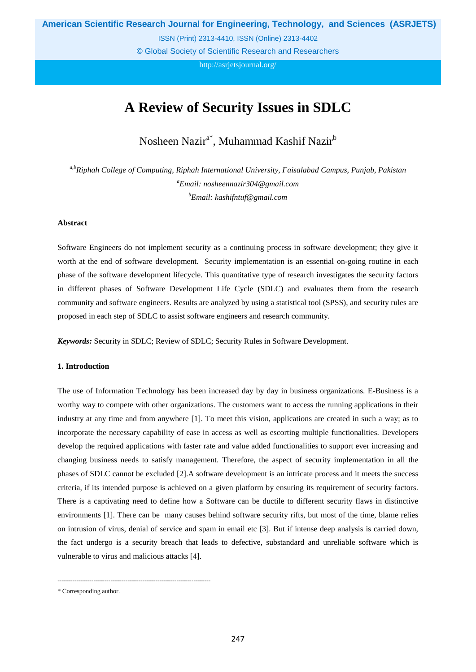**American Scientific Research Journal for Engineering, Technology, and Sciences (ASRJETS)**

ISSN (Print) 2313-4410, ISSN (Online) 2313-4402

© Global Society of Scientific Research and Researchers

<http://asrjetsjournal.org/>

# **A Review of Security Issues in SDLC**

Nosheen Nazir<sup>a\*</sup>, Muhammad Kashif Nazir<sup>b</sup>

*a,b Riphah College of Computing, Riphah International University, Faisalabad Campus, Punjab, Pakistan a Email: nosheennazir304@gmail.com b Email: kashifntuf@gmail.com*

## **Abstract**

Software Engineers do not implement security as a continuing process in software development; they give it worth at the end of software development. Security implementation is an essential on-going routine in each phase of the software development lifecycle. This quantitative type of research investigates the security factors in different phases of Software Development Life Cycle (SDLC) and evaluates them from the research community and software engineers. Results are analyzed by using a statistical tool (SPSS), and security rules are proposed in each step of SDLC to assist software engineers and research community.

*Keywords:* Security in SDLC; Review of SDLC; Security Rules in Software Development.

#### **1. Introduction**

The use of Information Technology has been increased day by day in business organizations. E-Business is a worthy way to compete with other organizations. The customers want to access the running applications in their industry at any time and from anywhere [\[1\]](#page-10-0). To meet this vision, applications are created in such a way; as to incorporate the necessary capability of ease in access as well as escorting multiple functionalities. Developers develop the required applications with faster rate and value added functionalities to support ever increasing and changing business needs to satisfy management. Therefore, the aspect of security implementation in all the phases of SDLC cannot be excluded [\[2\]](#page-10-1).A software development is an intricate process and it meets the success criteria, if its intended purpose is achieved on a given platform by ensuring its requirement of security factors. There is a captivating need to define how a Software can be ductile to different security flaws in distinctive environments [\[1\]](#page-10-0). There can be many causes behind software security rifts, but most of the time, blame relies on intrusion of virus, denial of service and spam in email etc [\[3\]](#page-10-2). But if intense deep analysis is carried down, the fact undergo is a security breach that leads to defective, substandard and unreliable software which is vulnerable to virus and malicious attacks [\[4\]](#page-10-3).

------------------------------------------------------------------------

<sup>\*</sup> Corresponding author.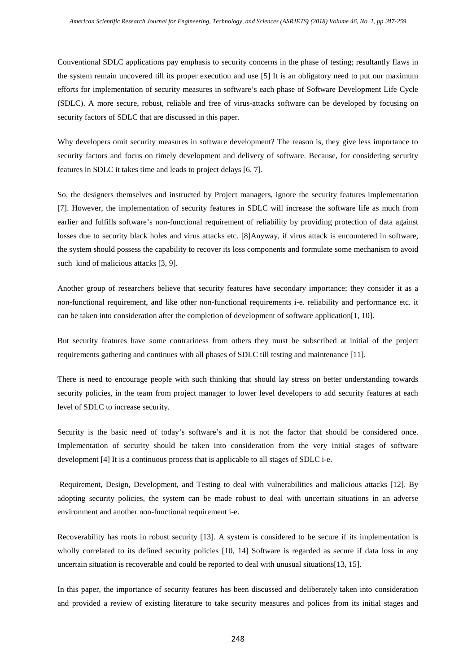Conventional SDLC applications pay emphasis to security concerns in the phase of testing; resultantly flaws in the system remain uncovered till its proper execution and use [\[5\]](#page-10-4) It is an obligatory need to put our maximum efforts for implementation of security measures in software's each phase of Software Development Life Cycle (SDLC). A more secure, robust, reliable and free of virus-attacks software can be developed by focusing on security factors of SDLC that are discussed in this paper.

Why developers omit security measures in software development? The reason is, they give less importance to security factors and focus on timely development and delivery of software. Because, for considering security features in SDLC it takes time and leads to project delays [\[6,](#page-10-5) [7\]](#page-10-6).

So, the designers themselves and instructed by Project managers, ignore the security features implementation [\[7\]](#page-10-6). However, the implementation of security features in SDLC will increase the software life as much from earlier and fulfills software's non-functional requirement of reliability by providing protection of data against losses due to security black holes and virus attacks etc. [\[8\]](#page-11-0)Anyway, if virus attack is encountered in software, the system should possess the capability to recover its loss components and formulate some mechanism to avoid such kind of malicious attacks [\[3,](#page-10-2) [9\]](#page-11-1).

Another group of researchers believe that security features have secondary importance; they consider it as a non-functional requirement, and like other non-functional requirements i-e. reliability and performance etc. it can be taken into consideration after the completion of development of software application[\[1,](#page-10-0) [10\]](#page-11-2).

But security features have some contrariness from others they must be subscribed at initial of the project requirements gathering and continues with all phases of SDLC till testing and maintenance [\[11\]](#page-11-3).

There is need to encourage people with such thinking that should lay stress on better understanding towards security policies, in the team from project manager to lower level developers to add security features at each level of SDLC to increase security.

Security is the basic need of today's software's and it is not the factor that should be considered once. Implementation of security should be taken into consideration from the very initial stages of software development [\[4\]](#page-10-3) It is a continuous process that is applicable to all stages of SDLC i-e.

Requirement, Design, Development, and Testing to deal with vulnerabilities and malicious attacks [\[12\]](#page-11-4). By adopting security policies, the system can be made robust to deal with uncertain situations in an adverse environment and another non-functional requirement i-e.

Recoverability has roots in robust security [\[13\]](#page-11-5). A system is considered to be secure if its implementation is wholly correlated to its defined security policies [\[10,](#page-11-2) [14\]](#page-11-6) Software is regarded as secure if data loss in any uncertain situation is recoverable and could be reported to deal with unusual situations[\[13,](#page-11-5) [15\]](#page-11-7).

In this paper, the importance of security features has been discussed and deliberately taken into consideration and provided a review of existing literature to take security measures and polices from its initial stages and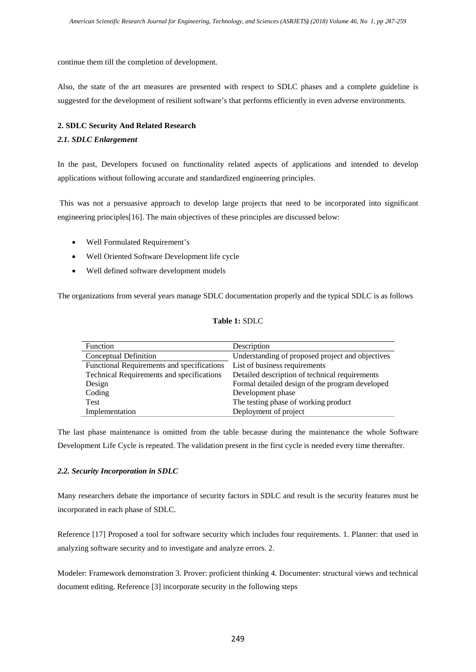continue them till the completion of development.

Also, the state of the art measures are presented with respect to SDLC phases and a complete guideline is suggested for the development of resilient software's that performs efficiently in even adverse environments.

#### **2. SDLC Security And Related Research**

#### *2.1. SDLC Enlargement*

In the past, Developers focused on functionality related aspects of applications and intended to develop applications without following accurate and standardized engineering principles.

This was not a persuasive approach to develop large projects that need to be incorporated into significant engineering principles[\[16\]](#page-11-8). The main objectives of these principles are discussed below:

- Well Formulated Requirement's
- Well Oriented Software Development life cycle
- Well defined software development models

The organizations from several years manage SDLC documentation properly and the typical SDLC is as follows

## **Table 1:** SDLC

| Function                                   | Description                                      |
|--------------------------------------------|--------------------------------------------------|
| Conceptual Definition                      | Understanding of proposed project and objectives |
| Functional Requirements and specifications | List of business requirements                    |
| Technical Requirements and specifications  | Detailed description of technical requirements   |
| Design                                     | Formal detailed design of the program developed  |
| Coding                                     | Development phase                                |
| Test                                       | The testing phase of working product             |
| Implementation                             | Deployment of project                            |

The last phase maintenance is omitted from the table because during the maintenance the whole Software Development Life Cycle is repeated. The validation present in the first cycle is needed every time thereafter.

## *2.2. Security Incorporation in SDLC*

Many researchers debate the importance of security factors in SDLC and result is the security features must be incorporated in each phase of SDLC.

Reference [\[17\]](#page-11-9) Proposed a tool for software security which includes four requirements. 1. Planner: that used in analyzing software security and to investigate and analyze errors. 2.

Modeler: Framework demonstration 3. Prover: proficient thinking 4. Documenter: structural views and technical document editing. Reference [\[3\]](#page-10-2) incorporate security in the following steps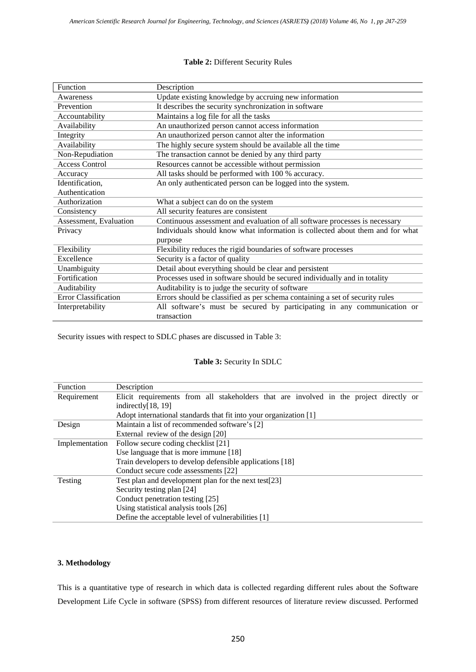### **Table 2:** Different Security Rules

| Function                    | Description                                                                   |
|-----------------------------|-------------------------------------------------------------------------------|
| Awareness                   | Update existing knowledge by accruing new information                         |
| Prevention                  | It describes the security synchronization in software                         |
| Accountability              | Maintains a log file for all the tasks                                        |
| Availability                | An unauthorized person cannot access information                              |
| Integrity                   | An unauthorized person cannot alter the information                           |
| Availability                | The highly secure system should be available all the time                     |
| Non-Repudiation             | The transaction cannot be denied by any third party                           |
| <b>Access Control</b>       | Resources cannot be accessible without permission                             |
| Accuracy                    | All tasks should be performed with 100 % accuracy.                            |
| Identification,             | An only authenticated person can be logged into the system.                   |
| Authentication              |                                                                               |
| Authorization               | What a subject can do on the system                                           |
| Consistency                 | All security features are consistent                                          |
| Assessment, Evaluation      | Continuous assessment and evaluation of all software processes is necessary   |
| Privacy                     | Individuals should know what information is collected about them and for what |
|                             | purpose                                                                       |
| Flexibility                 | Flexibility reduces the rigid boundaries of software processes                |
| Excellence                  | Security is a factor of quality                                               |
| Unambiguity                 | Detail about everything should be clear and persistent                        |
| Fortification               | Processes used in software should be secured individually and in totality     |
| Auditability                | Auditability is to judge the security of software                             |
| <b>Error Classification</b> | Errors should be classified as per schema containing a set of security rules  |
| Interpretability            | All software's must be secured by participating in any communication or       |
|                             | transaction                                                                   |

Security issues with respect to SDLC phases are discussed in Table 3:

## **Table 3:** Security In SDLC

| <b>Function</b> | Description                                                                            |  |  |  |  |  |
|-----------------|----------------------------------------------------------------------------------------|--|--|--|--|--|
| Requirement     | Elicit requirements from all stakeholders that are involved in the project directly or |  |  |  |  |  |
|                 | indirectly $[18, 19]$                                                                  |  |  |  |  |  |
|                 | Adopt international standards that fit into your organization [1]                      |  |  |  |  |  |
| Design          | Maintain a list of recommended software's [2]                                          |  |  |  |  |  |
|                 | External review of the design [20]                                                     |  |  |  |  |  |
| Implementation  | Follow secure coding checklist [21]                                                    |  |  |  |  |  |
|                 | Use language that is more immune [18]                                                  |  |  |  |  |  |
|                 | Train developers to develop defensible applications [18]                               |  |  |  |  |  |
|                 | Conduct secure code assessments [22]                                                   |  |  |  |  |  |
| Testing         | Test plan and development plan for the next test[23]                                   |  |  |  |  |  |
|                 | Security testing plan [24]                                                             |  |  |  |  |  |
|                 | Conduct penetration testing [25]                                                       |  |  |  |  |  |
|                 | Using statistical analysis tools [26]                                                  |  |  |  |  |  |
|                 | Define the acceptable level of vulnerabilities [1]                                     |  |  |  |  |  |

## **3. Methodology**

This is a quantitative type of research in which data is collected regarding different rules about the Software Development Life Cycle in software (SPSS) from different resources of literature review discussed. Performed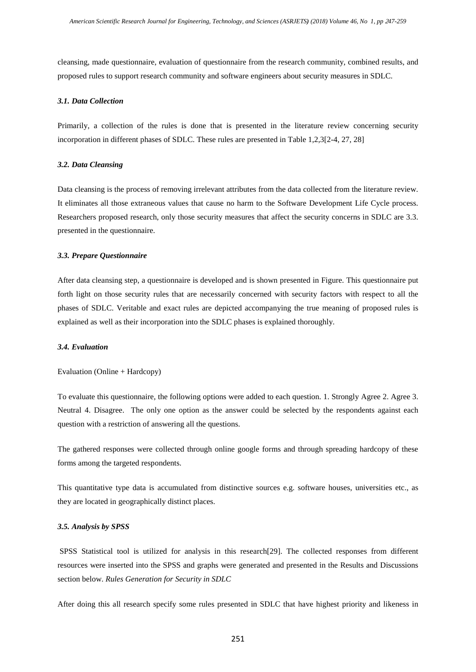cleansing, made questionnaire, evaluation of questionnaire from the research community, combined results, and proposed rules to support research community and software engineers about security measures in SDLC.

#### *3.1. Data Collection*

Primarily, a collection of the rules is done that is presented in the literature review concerning security incorporation in different phases of SDLC. These rules are presented in Table 1,2,3[\[2-4,](#page-10-1) [27,](#page-12-5) [28\]](#page-12-6)

#### *3.2. Data Cleansing*

Data cleansing is the process of removing irrelevant attributes from the data collected from the literature review. It eliminates all those extraneous values that cause no harm to the Software Development Life Cycle process. Researchers proposed research, only those security measures that affect the security concerns in SDLC are 3.3. presented in the questionnaire.

#### *3.3. Prepare Questionnaire*

After data cleansing step, a questionnaire is developed and is shown presented in Figure. This questionnaire put forth light on those security rules that are necessarily concerned with security factors with respect to all the phases of SDLC. Veritable and exact rules are depicted accompanying the true meaning of proposed rules is explained as well as their incorporation into the SDLC phases is explained thoroughly.

#### *3.4. Evaluation*

#### Evaluation (Online + Hardcopy)

To evaluate this questionnaire, the following options were added to each question. 1. Strongly Agree 2. Agree 3. Neutral 4. Disagree. The only one option as the answer could be selected by the respondents against each question with a restriction of answering all the questions.

The gathered responses were collected through online google forms and through spreading hardcopy of these forms among the targeted respondents.

This quantitative type data is accumulated from distinctive sources e.g. software houses, universities etc., as they are located in geographically distinct places.

#### *3.5. Analysis by SPSS*

SPSS Statistical tool is utilized for analysis in this research[\[29\]](#page-12-7). The collected responses from different resources were inserted into the SPSS and graphs were generated and presented in the Results and Discussions section below. *Rules Generation for Security in SDLC*

After doing this all research specify some rules presented in SDLC that have highest priority and likeness in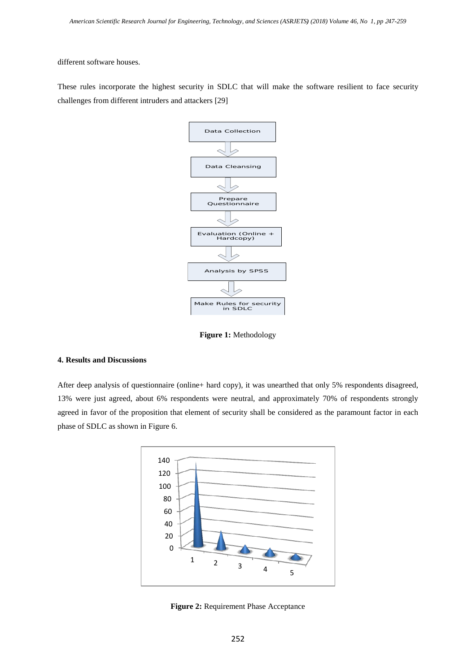different software houses.

These rules incorporate the highest security in SDLC that will make the software resilient to face security challenges from different intruders and attackers [\[29\]](#page-12-7)



**Figure 1:** Methodology

#### **4. Results and Discussions**

After deep analysis of questionnaire (online+ hard copy), it was unearthed that only 5% respondents disagreed, 13% were just agreed, about 6% respondents were neutral, and approximately 70% of respondents strongly agreed in favor of the proposition that element of security shall be considered as the paramount factor in each phase of SDLC as shown in Figure 6.



**Figure 2:** Requirement Phase Acceptance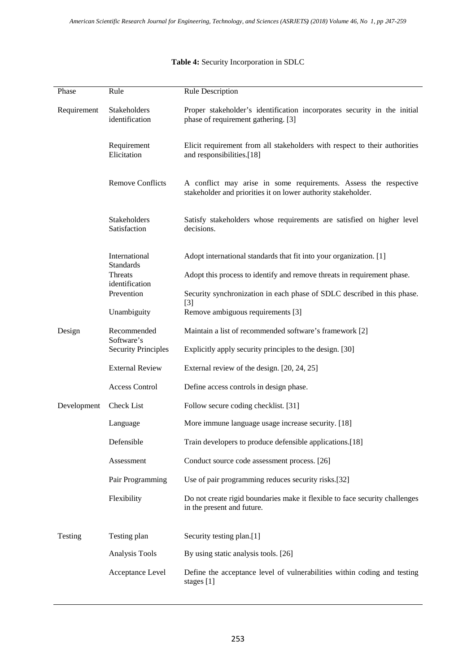## Phase Rule Rule Rule Description Requirement Stakeholders identification Proper stakeholder's identification incorporates security in the initial phase of requirement gathering. [\[3\]](#page-10-2) Requirement Elicitation Elicit requirement from all stakeholders with respect to their authorities and responsibilities.[\[18\]](#page-11-10) Remove Conflicts A conflict may arise in some requirements. Assess the respective stakeholder and priorities it on lower authority stakeholder. Stakeholders Satisfaction Satisfy stakeholders whose requirements are satisfied on higher level decisions. International Standards Adopt international standards that fit into your organization. [\[1\]](#page-10-0) Threats identification Adopt this process to identify and remove threats in requirement phase. Prevention Security synchronization in each phase of SDLC described in this phase. [\[3\]](#page-10-2) Unambiguity Remove ambiguous requirements [\[3\]](#page-10-2) Design Recommended Software's Maintain a list of recommended software's framework [\[2\]](#page-10-1) Security Principles Explicitly apply security principles to the design. [\[30\]](#page-12-8) External Review External review of the design. [\[20,](#page-11-12) [24,](#page-12-2) [25\]](#page-12-3) Access Control Define access controls in design phase. Development Check List Follow secure coding checklist. [\[31\]](#page-12-9) Language More immune language usage increase security. [\[18\]](#page-11-10) Defensible Train developers to produce defensible applications.<sup>[\[18\]](#page-11-10)</sup> Assessment Conduct source code assessment process. [\[26\]](#page-12-4) Pair Programming Use of pair programming reduces security risks.[\[32\]](#page-12-10) Flexibility Do not create rigid boundaries make it flexible to face security challenges in the present and future. Testing Testing plan Security testing plan.[\[1\]](#page-10-0) Analysis Tools By using static analysis tools. [\[26\]](#page-12-4) Acceptance Level Define the acceptance level of vulnerabilities within coding and testing stages [\[1\]](#page-10-0)

## **Table 4:** Security Incorporation in SDLC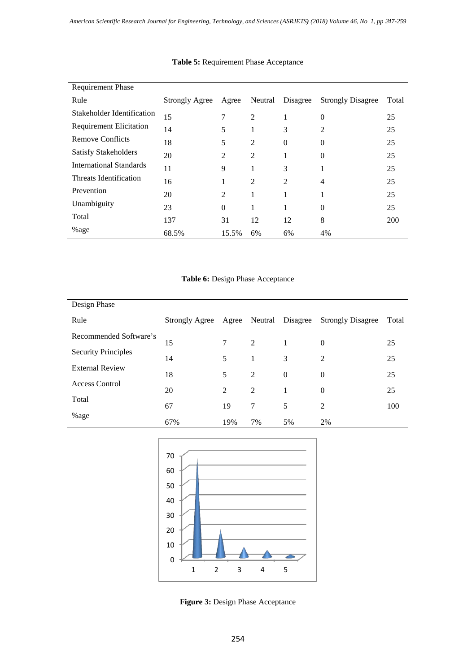| <b>Requirement Phase</b>       |                       |                |                |          |                          |       |
|--------------------------------|-----------------------|----------------|----------------|----------|--------------------------|-------|
| Rule                           | <b>Strongly Agree</b> | Agree          | Neutral        | Disagree | <b>Strongly Disagree</b> | Total |
| Stakeholder Identification     | 15                    | 7              | $\overline{2}$ | 1        | 0                        | 25    |
| <b>Requirement Elicitation</b> | 14                    | 5              | $\mathbf{I}$   | 3        | 2                        | 25    |
| <b>Remove Conflicts</b>        | 18                    | 5              | $\overline{2}$ | 0        | 0                        | 25    |
| <b>Satisfy Stakeholders</b>    | 20                    | $\overline{2}$ | $\overline{2}$ | -        | 0                        | 25    |
| <b>International Standards</b> | 11                    | 9              |                | 3        | л.                       | 25    |
| Threats Identification         | 16                    | 1              | $\overline{2}$ | 2        | 4                        | 25    |
| Prevention                     | 20                    | 2              | $\mathbf{I}$   | 1        | л.                       | 25    |
| Unambiguity                    | 23                    | $\overline{0}$ | л.             | 1        | 0                        | 25    |
| Total                          | 137                   | 31             | 12             | 12       | 8                        | 200   |
| %age                           | 68.5%                 | 15.5%          | 6%             | 6%       | 4%                       |       |

## **Table 5:** Requirement Phase Acceptance

## **Table 6:** Design Phase Acceptance

| Design Phase               |                       |       |    |                  |                          |       |
|----------------------------|-----------------------|-------|----|------------------|--------------------------|-------|
| Rule                       | <b>Strongly Agree</b> | Agree |    | Neutral Disagree | <b>Strongly Disagree</b> | Total |
| Recommended Software's     | 15                    | 7     | 2  |                  | $\theta$                 | 25    |
| <b>Security Principles</b> | 14                    | 5     | 1  | 3                | 2                        | 25    |
| <b>External Review</b>     | 18                    | 5     | 2  | $\theta$         | $\theta$                 | 25    |
| Access Control             | 20                    | 2     | 2  | 1                | $\theta$                 | 25    |
| Total                      | 67                    | 19    | 7  | 5                | 2                        | 100   |
| %age                       | 67%                   | 19%   | 7% | 5%               | 2%                       |       |



Figure 3: Design Phase Acceptance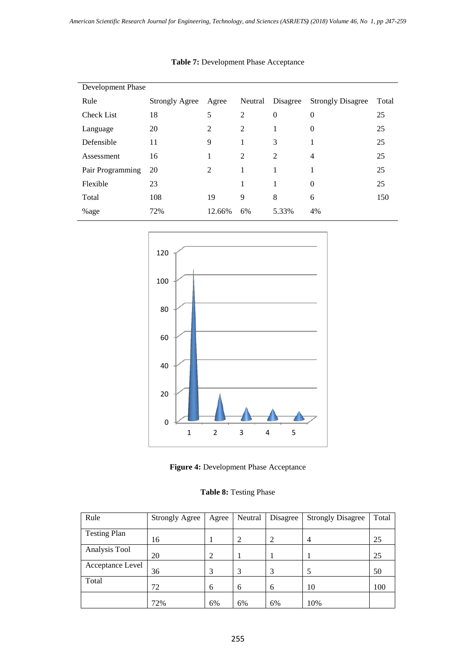| Development Phase |                       |                |                |                  |                          |       |  |  |
|-------------------|-----------------------|----------------|----------------|------------------|--------------------------|-------|--|--|
| Rule              | <b>Strongly Agree</b> | Agree          | Neutral        | Disagree         | <b>Strongly Disagree</b> | Total |  |  |
| <b>Check List</b> | 18                    | 5              | $\overline{2}$ | $\boldsymbol{0}$ | $\overline{0}$           | 25    |  |  |
| Language          | 20                    | $\overline{2}$ | $\overline{2}$ | 1                | $\theta$                 | 25    |  |  |
| Defensible        | 11                    | 9              | 1              | 3                | 1                        | 25    |  |  |
| Assessment        | 16                    | 1              | $\overline{2}$ | 2                | $\overline{4}$           | 25    |  |  |
| Pair Programming  | 20                    | 2              | 1              | 1                | 1                        | 25    |  |  |
| Flexible          | 23                    |                | 1              | 1                | $\theta$                 | 25    |  |  |
| Total             | 108                   | 19             | 9              | 8                | 6                        | 150   |  |  |
| %age              | 72%                   | 12.66%         | 6%             | 5.33%            | 4%                       |       |  |  |

## **Table 7:** Development Phase Acceptance



**Figure 4:** Development Phase Acceptance

## **Table 8:** Testing Phase

| Rule                | <b>Strongly Agree</b> | Agree | Neutral | Disagree | <b>Strongly Disagree</b> | Total |
|---------------------|-----------------------|-------|---------|----------|--------------------------|-------|
| <b>Testing Plan</b> | 16                    |       | 2       | 2        | 4                        | 25    |
| Analysis Tool       | 20                    | 2     |         |          |                          | 25    |
| Acceptance Level    | 36                    | 3     | 3       | 3        | 5                        | 50    |
| Total               | 72                    | 6     | 6       | 6        | 10                       | 100   |
|                     | 72%                   | 6%    | 6%      | 6%       | 10%                      |       |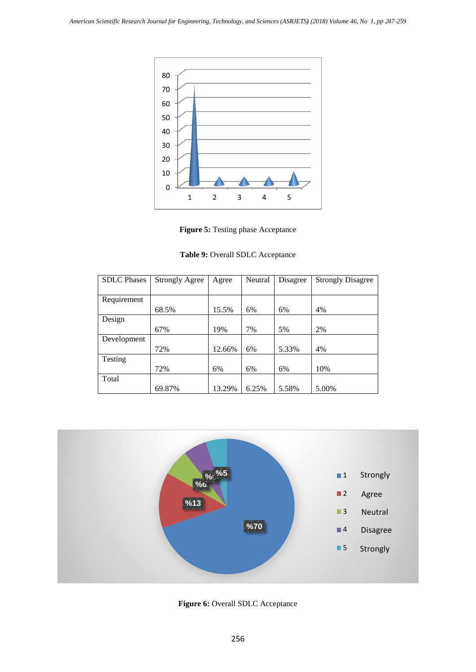

Figure 5: Testing phase Acceptance

**Table 9:** Overall SDLC Acceptance

| <b>SDLC</b> Phases | <b>Strongly Agree</b> | Agree  | Neutral | Disagree | <b>Strongly Disagree</b> |
|--------------------|-----------------------|--------|---------|----------|--------------------------|
|                    |                       |        |         |          |                          |
| Requirement        |                       |        |         |          |                          |
|                    | 68.5%                 | 15.5%  | 6%      | 6%       | 4%                       |
| Design             |                       |        |         |          |                          |
|                    | 67%                   | 19%    | 7%      | 5%       | 2%                       |
| Development        |                       |        |         |          |                          |
|                    | 72%                   | 12.66% | 6%      | 5.33%    | 4%                       |
| Testing            |                       |        |         |          |                          |
|                    | 72%                   | 6%     | 6%      | 6%       | 10%                      |
| Total              |                       |        |         |          |                          |
|                    | 69.87%                | 13.29% | 6.25%   | 5.58%    | 5.00%                    |



**Figure 6:** Overall SDLC Acceptance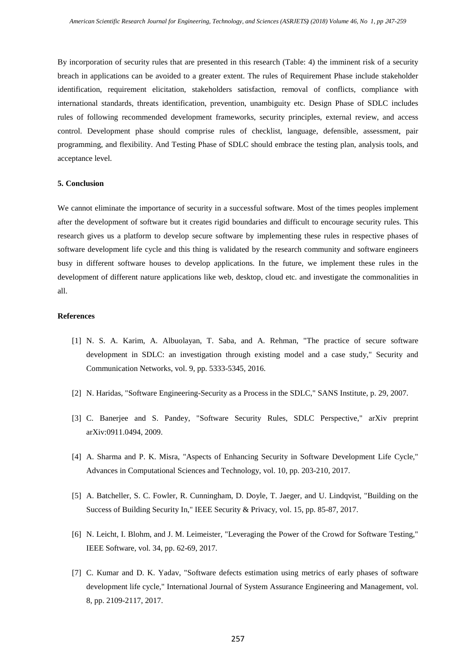By incorporation of security rules that are presented in this research (Table: 4) the imminent risk of a security breach in applications can be avoided to a greater extent. The rules of Requirement Phase include stakeholder identification, requirement elicitation, stakeholders satisfaction, removal of conflicts, compliance with international standards, threats identification, prevention, unambiguity etc. Design Phase of SDLC includes rules of following recommended development frameworks, security principles, external review, and access control. Development phase should comprise rules of checklist, language, defensible, assessment, pair programming, and flexibility. And Testing Phase of SDLC should embrace the testing plan, analysis tools, and acceptance level.

#### **5. Conclusion**

We cannot eliminate the importance of security in a successful software. Most of the times peoples implement after the development of software but it creates rigid boundaries and difficult to encourage security rules. This research gives us a platform to develop secure software by implementing these rules in respective phases of software development life cycle and this thing is validated by the research community and software engineers busy in different software houses to develop applications. In the future, we implement these rules in the development of different nature applications like web, desktop, cloud etc. and investigate the commonalities in all.

#### **References**

- <span id="page-10-0"></span>[1] N. S. A. Karim, A. Albuolayan, T. Saba, and A. Rehman, "The practice of secure software development in SDLC: an investigation through existing model and a case study," Security and Communication Networks, vol. 9, pp. 5333-5345, 2016.
- <span id="page-10-1"></span>[2] N. Haridas, "Software Engineering-Security as a Process in the SDLC," SANS Institute, p. 29, 2007.
- <span id="page-10-2"></span>[3] C. Banerjee and S. Pandey, "Software Security Rules, SDLC Perspective," arXiv preprint arXiv:0911.0494, 2009.
- <span id="page-10-3"></span>[4] A. Sharma and P. K. Misra, "Aspects of Enhancing Security in Software Development Life Cycle," Advances in Computational Sciences and Technology, vol. 10, pp. 203-210, 2017.
- <span id="page-10-4"></span>[5] A. Batcheller, S. C. Fowler, R. Cunningham, D. Doyle, T. Jaeger, and U. Lindqvist, "Building on the Success of Building Security In," IEEE Security & Privacy, vol. 15, pp. 85-87, 2017.
- <span id="page-10-5"></span>[6] N. Leicht, I. Blohm, and J. M. Leimeister, "Leveraging the Power of the Crowd for Software Testing," IEEE Software, vol. 34, pp. 62-69, 2017.
- <span id="page-10-6"></span>[7] C. Kumar and D. K. Yadav, "Software defects estimation using metrics of early phases of software development life cycle," International Journal of System Assurance Engineering and Management, vol. 8, pp. 2109-2117, 2017.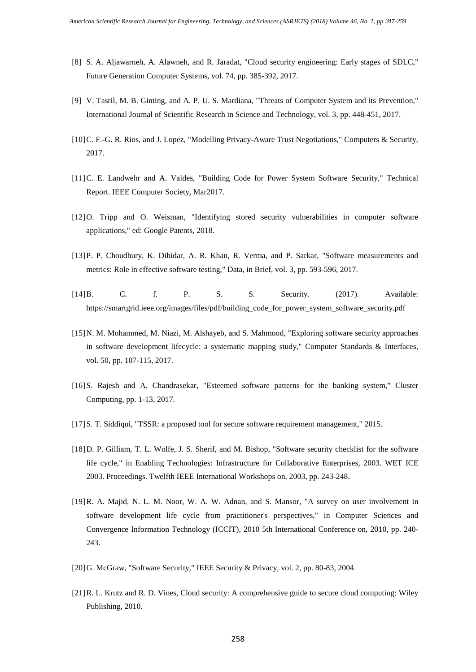- <span id="page-11-0"></span>[8] S. A. Aljawarneh, A. Alawneh, and R. Jaradat, "Cloud security engineering: Early stages of SDLC," Future Generation Computer Systems, vol. 74, pp. 385-392, 2017.
- <span id="page-11-1"></span>[9] V. Tasril, M. B. Ginting, and A. P. U. S. Mardiana, "Threats of Computer System and its Prevention," International Journal of Scientific Research in Science and Technology, vol. 3, pp. 448-451, 2017.
- <span id="page-11-2"></span>[10] C. F.-G. R. Rios, and J. Lopez, "Modelling Privacy-Aware Trust Negotiations," Computers & Security, 2017.
- <span id="page-11-3"></span>[11]C. E. Landwehr and A. Valdes, "Building Code for Power System Software Security," Technical Report. IEEE Computer Society, Mar2017.
- <span id="page-11-4"></span>[12]O. Tripp and O. Weisman, "Identifying stored security vulnerabilities in computer software applications," ed: Google Patents, 2018.
- <span id="page-11-5"></span>[13]P. P. Choudhury, K. Dihidar, A. R. Khan, R. Verma, and P. Sarkar, "Software measurements and metrics: Role in effective software testing," Data, in Brief, vol. 3, pp. 593-596, 2017.
- <span id="page-11-6"></span>[14]B. C. f. P. S. S. Security. (2017). Available: https://smartgrid.ieee.org/images/files/pdf/building\_code\_for\_power\_system\_software\_security.pdf
- <span id="page-11-7"></span>[15]N. M. Mohammed, M. Niazi, M. Alshayeb, and S. Mahmood, "Exploring software security approaches in software development lifecycle: a systematic mapping study," Computer Standards & Interfaces, vol. 50, pp. 107-115, 2017.
- <span id="page-11-8"></span>[16]S. Rajesh and A. Chandrasekar, "Esteemed software patterns for the banking system," Cluster Computing, pp. 1-13, 2017.
- <span id="page-11-9"></span>[17]S. T. Siddiqui, "TSSR: a proposed tool for secure software requirement management," 2015.
- <span id="page-11-10"></span>[18]D. P. Gilliam, T. L. Wolfe, J. S. Sherif, and M. Bishop, "Software security checklist for the software life cycle," in Enabling Technologies: Infrastructure for Collaborative Enterprises, 2003. WET ICE 2003. Proceedings. Twelfth IEEE International Workshops on, 2003, pp. 243-248.
- <span id="page-11-11"></span>[19]R. A. Majid, N. L. M. Noor, W. A. W. Adnan, and S. Mansor, "A survey on user involvement in software development life cycle from practitioner's perspectives," in Computer Sciences and Convergence Information Technology (ICCIT), 2010 5th International Conference on, 2010, pp. 240- 243.
- <span id="page-11-12"></span>[20]G. McGraw, "Software Security," IEEE Security & Privacy, vol. 2, pp. 80-83, 2004.
- <span id="page-11-13"></span>[21]R. L. Krutz and R. D. Vines, Cloud security: A comprehensive guide to secure cloud computing: Wiley Publishing, 2010.